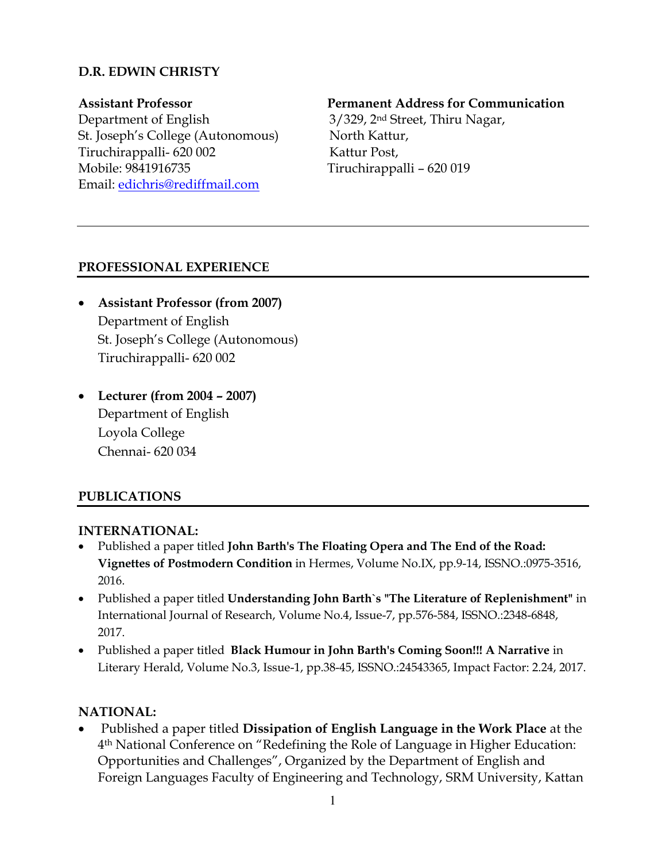## **D.R. EDWIN CHRISTY**

Department of English 3/329, 2nd Street, Thiru Nagar, St. Joseph's College (Autonomous) North Kattur, Tiruchirappalli- 620 002 Kattur Post, Mobile: 9841916735 Tiruchirappalli – 620 019 Email: [edichris@rediffmail.com](mailto:edichris@rediffmail.com)

#### **Assistant Professor Permanent Address for Communication**

### **PROFESSIONAL EXPERIENCE**

- **Assistant Professor (from 2007)**  Department of English St. Joseph's College (Autonomous) Tiruchirappalli- 620 002
- **Lecturer (from 2004 – 2007)**  Department of English Loyola College Chennai- 620 034

### **PUBLICATIONS**

### **INTERNATIONAL:**

- Published a paper titled **John Barth's The Floating Opera and The End of the Road: Vignettes of Postmodern Condition** in Hermes, Volume No.IX, pp.9-14, ISSNO.:0975-3516, 2016.
- Published a paper titled **Understanding John Barth`s "The Literature of Replenishment"** in International Journal of Research, Volume No.4, Issue-7, pp.576-584, ISSNO.:2348-6848, 2017.
- Published a paper titled **Black Humour in John Barth's Coming Soon!!! A Narrative** in Literary Herald, Volume No.3, Issue-1, pp.38-45, ISSNO.:24543365, Impact Factor: 2.24, 2017.

### **NATIONAL:**

 Published a paper titled **Dissipation of English Language in the Work Place** at the 4 th National Conference on "Redefining the Role of Language in Higher Education: Opportunities and Challenges", Organized by the Department of English and Foreign Languages Faculty of Engineering and Technology, SRM University, Kattan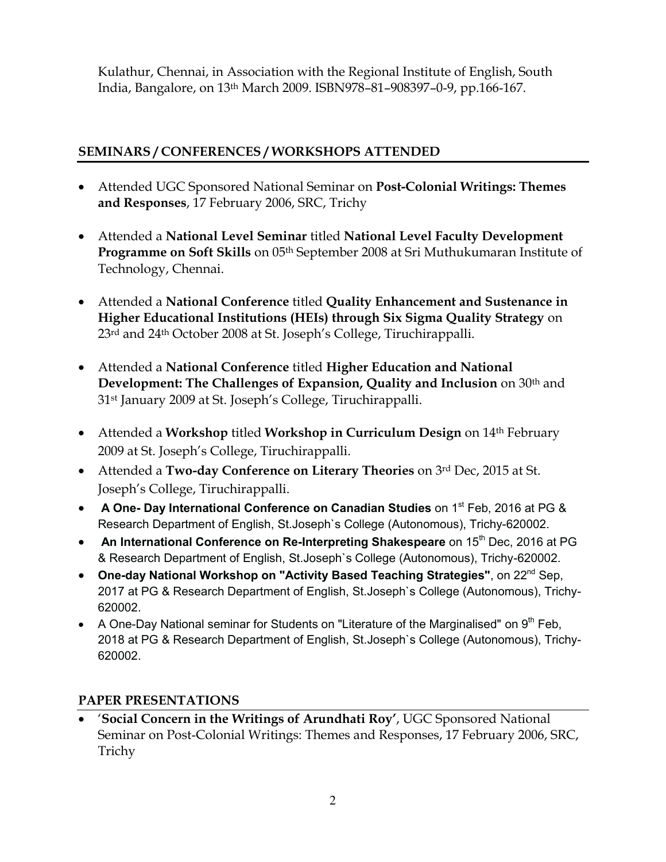Kulathur, Chennai, in Association with the Regional Institute of English, South India, Bangalore, on 13th March 2009. ISBN978–81–908397–0-9, pp.166-167.

# **SEMINARS / CONFERENCES / WORKSHOPS ATTENDED**

- Attended UGC Sponsored National Seminar on **Post-Colonial Writings: Themes and Responses**, 17 February 2006, SRC, Trichy
- Attended a **National Level Seminar** titled **National Level Faculty Development Programme on Soft Skills** on 05th September 2008 at Sri Muthukumaran Institute of Technology, Chennai.
- Attended a **National Conference** titled **Quality Enhancement and Sustenance in Higher Educational Institutions (HEIs) through Six Sigma Quality Strategy** on 23<sup>rd</sup> and 24<sup>th</sup> October 2008 at St. Joseph's College, Tiruchirappalli.
- Attended a **National Conference** titled **Higher Education and National Development: The Challenges of Expansion, Quality and Inclusion** on 30<sup>th</sup> and 31st January 2009 at St. Joseph's College, Tiruchirappalli.
- Attended a **Workshop** titled **Workshop in Curriculum Design** on 14th February 2009 at St. Joseph's College, Tiruchirappalli.
- Attended a **Two-day Conference on Literary Theories** on 3rd Dec, 2015 at St. Joseph's College, Tiruchirappalli.
- **A One- Day International Conference on Canadian Studies** on 1<sup>st</sup> Feb, 2016 at PG & Research Department of English, St.Joseph`s College (Autonomous), Trichy-620002.
- **An International Conference on Re-Interpreting Shakespeare** on 15<sup>th</sup> Dec, 2016 at PG & Research Department of English, St.Joseph`s College (Autonomous), Trichy-620002.
- **One-day National Workshop on "Activity Based Teaching Strategies", on 22<sup>nd</sup> Sep,** 2017 at PG & Research Department of English, St.Joseph`s College (Autonomous), Trichy-620002.
- A One-Day National seminar for Students on "Literature of the Marginalised" on  $9<sup>th</sup>$  Feb, 2018 at PG & Research Department of English, St.Joseph`s College (Autonomous), Trichy-620002.

## **PAPER PRESENTATIONS**

 '**Social Concern in the Writings of Arundhati Roy'**, UGC Sponsored National Seminar on Post-Colonial Writings: Themes and Responses, 17 February 2006, SRC, Trichy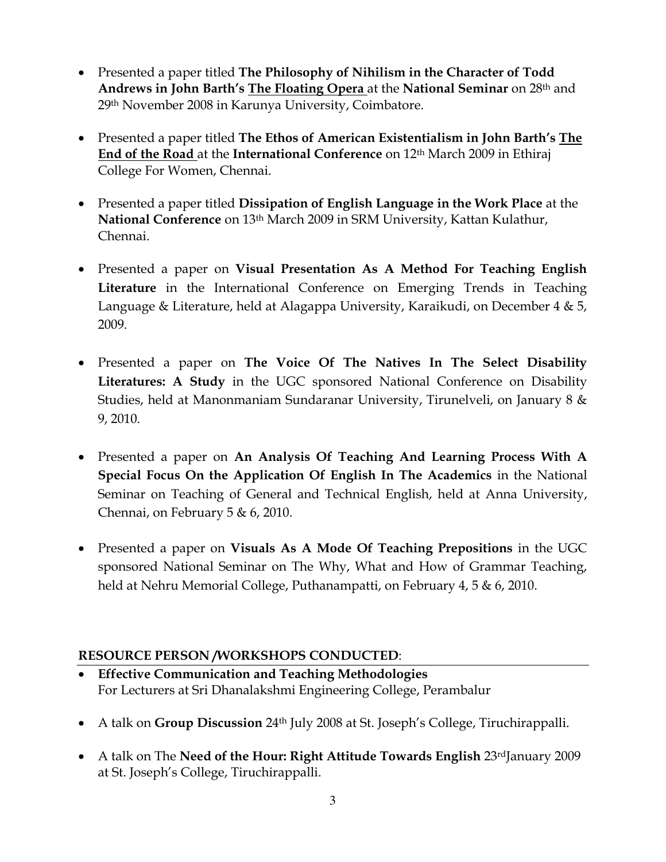- Presented a paper titled **The Philosophy of Nihilism in the Character of Todd Andrews in John Barth's The Floating Opera** at the **National Seminar** on 28th and 29th November 2008 in Karunya University, Coimbatore.
- Presented a paper titled **The Ethos of American Existentialism in John Barth's The End of the Road** at the **International Conference** on 12th March 2009 in Ethiraj College For Women, Chennai.
- Presented a paper titled **Dissipation of English Language in the Work Place** at the **National Conference** on 13th March 2009 in SRM University, Kattan Kulathur, Chennai.
- Presented a paper on **Visual Presentation As A Method For Teaching English Literature** in the International Conference on Emerging Trends in Teaching Language & Literature, held at Alagappa University, Karaikudi, on December 4 & 5, 2009.
- Presented a paper on **The Voice Of The Natives In The Select Disability Literatures: A Study** in the UGC sponsored National Conference on Disability Studies, held at Manonmaniam Sundaranar University, Tirunelveli, on January 8 & 9, 2010.
- Presented a paper on **An Analysis Of Teaching And Learning Process With A Special Focus On the Application Of English In The Academics** in the National Seminar on Teaching of General and Technical English, held at Anna University, Chennai, on February 5 & 6, 2010.
- Presented a paper on **Visuals As A Mode Of Teaching Prepositions** in the UGC sponsored National Seminar on The Why, What and How of Grammar Teaching, held at Nehru Memorial College, Puthanampatti, on February 4, 5 & 6, 2010.

## **RESOURCE PERSON /WORKSHOPS CONDUCTED**:

- **Effective Communication and Teaching Methodologies** For Lecturers at Sri Dhanalakshmi Engineering College, Perambalur
- A talk on **Group Discussion** 24th July 2008 at St. Joseph's College, Tiruchirappalli.
- A talk on The **Need of the Hour: Right Attitude Towards English** 23rdJanuary 2009 at St. Joseph's College, Tiruchirappalli.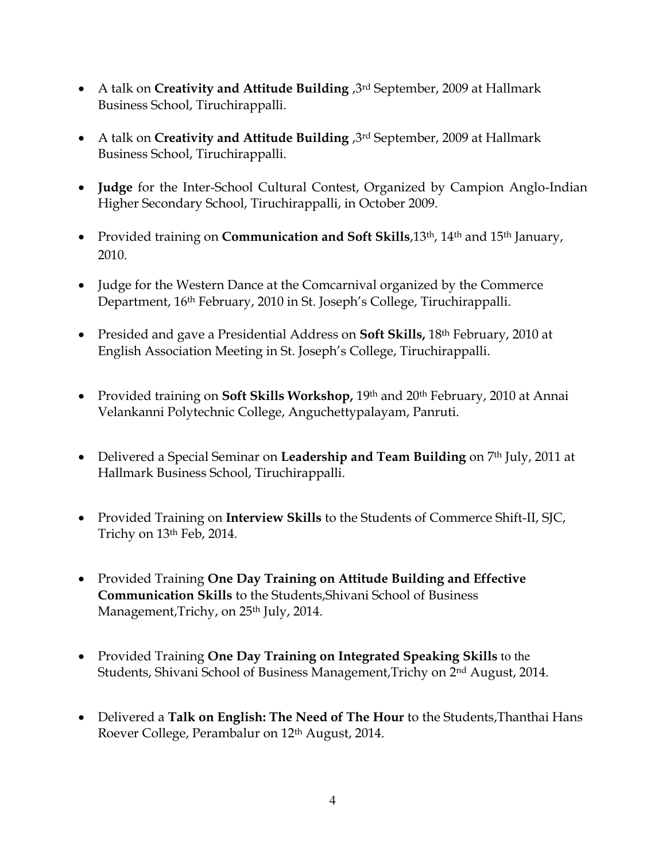- A talk on **Creativity and Attitude Building** ,3rd September, 2009 at Hallmark Business School, Tiruchirappalli.
- A talk on **Creativity and Attitude Building** ,3rd September, 2009 at Hallmark Business School, Tiruchirappalli.
- **Judge** for the Inter-School Cultural Contest, Organized by Campion Anglo-Indian Higher Secondary School, Tiruchirappalli, in October 2009.
- Provided training on **Communication and Soft Skills**,13th, 14th and 15th January, 2010.
- Judge for the Western Dance at the Comcarnival organized by the Commerce Department, 16th February, 2010 in St. Joseph's College, Tiruchirappalli.
- Presided and gave a Presidential Address on **Soft Skills,** 18th February, 2010 at English Association Meeting in St. Joseph's College, Tiruchirappalli.
- Provided training on **Soft Skills Workshop,** 19th and 20th February, 2010 at Annai Velankanni Polytechnic College, Anguchettypalayam, Panruti.
- Delivered a Special Seminar on **Leadership and Team Building** on 7<sup>th</sup> July, 2011 at Hallmark Business School, Tiruchirappalli.
- Provided Training on **Interview Skills** to the Students of Commerce Shift-II, SJC, Trichy on 13th Feb, 2014.
- Provided Training **One Day Training on Attitude Building and Effective Communication Skills** to the Students,Shivani School of Business Management, Trichy, on 25<sup>th</sup> July, 2014.
- Provided Training **One Day Training on Integrated Speaking Skills** to the Students, Shivani School of Business Management,Trichy on 2nd August, 2014.
- Delivered a **Talk on English: The Need of The Hour** to the Students,Thanthai Hans Roever College, Perambalur on 12th August, 2014.